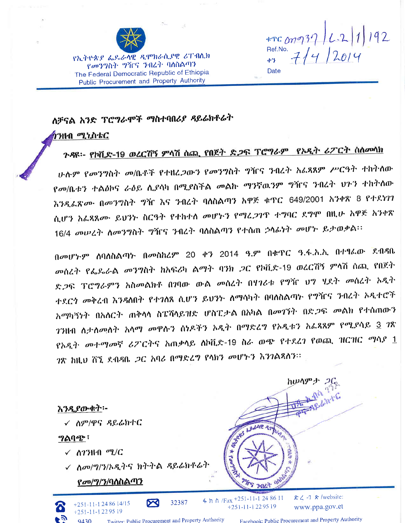

Ref.No.  $71412014$ 43 Date

የኢትዮጵያ ፌዶራላዊ ዲሞክራሲያዊ ሪፐብሲክ *የመንግ*ስት *ግ*ዥና ንብረት ባለስልጣን The Federal Democratic Republic of Ethiopia Public Procurement and Property Authority

## ስቻናል አንድ ፕሮግራሞች ማስተባበሪያ ዳይሬክቶሬት

#### ንንዘብ *ሚኒ*ስቴር

# <u> ጉዳዩ፡- የኮቪድ-19 ወረርሽኝ ምሳሽ ሰጪ የበጀት ድ*ጋ*ፍ ፕሮግራም የአዲት ሪፖርት ስስመሳክ</u>

ሁሱም የመንግስት መ/ቤቶች የተዘረ*ጋ*ውን የመንግስት ግዥና ንብረት አፌጻጸም ሥርዓት ተከትሰው የመ/ቤቱን ተልዕኮና ራዕይ ሲያሳካ በሚያስችል መልኩ ማንኛዉንም ግዥና ንብረት ህጉን ተከትሰው ችንዲፌጽ*ሙ* በመንግስት ግዥ እና ንብረት ባለስልጣን አዋጅ ቁጥር 649/2001 አንቀጽ 8 የተደነገገ ሲሆን አፌጻጸሙ ይህንት ስርዓት የተከተሰ መሆኑን የማፈጋገጥ ተግባር ደግሞ በዚሁ አዋጅ አንቀጽ 16/4 መሠረት ሰመንግስት ግዥና ንብረት ባለስልጣን የተሰጠ ኃሳፊነት መሆኑ ይታወቃል፡፡

በመሆኑም ሰባሰስልጣኑ በመስከረም 20 ቀን 2014 ዓ.ም በቁጥር ዓ.ፋ.አ.ኣ በተፃራው ደብዳቤ መስረት የፌዴራል መንግስት ከአፍሪካ ልማት ባንክ ጋር የኮቪድ-19 ወረርሽኝ ምላሽ ሰጪ የበጀት ድ,2ፍ ፕሮግራምን አስመልክቶ በገባው ውል መሰረት በሃገሪቱ የግዥ ህግ ሂደት መሰረት አዲት ተደርጎ መቅረብ እንዳለበት የተገለጸ ሲሆን ይህንኮ ለማሳካት በባለስልጣኑ የግዥና ንብረት አዲተሮች አማካኝነት በአለርት ጠቅሳሳ ስፔሻሳይዝድ ሆስፒታል በአካል በመገኘት በድጋፍ መልክ የተሰጠውን *ገን*ዘብ ለታሰመሰት አሳማ መዋሱን ሰነዶችን ኦዲት በማድረግ የኦዲቱን አፌጻጸም የሚያሳይ <u>3</u> ገጽ የአዲት መተማመኛ ሪፖርትና አጠቃሳይ ስኮቪድ-19 ስራ ወጭ የተደረገ የወጪ ዝርዝር ማሳያ  $\underline{1}$ *ገ*ጽ ከዚህ ሸኚ ደብዳቤ *ጋ*ር አባሪ በማድረግ የሳክን መሆኑን እንገልጻለን።

እንዲያውቁ<u>ት</u>፡-

✓ ስም/ዋና ዳይሬክተር

#### <u>ግልባጭ</u>፣

- $\checkmark$  ለ7ንዘብ ሚ/ር
- $\checkmark$  ለመ/ግ/ን/ኦዲትና ክትትል ዳይሬክቶሬት

 $\boldsymbol{\triangledown}$ 

Twitter: Public Procurement and Property Authority

32387

### <u>የመ/ግ/ን/ባለስልጣን</u>

 $+251 - 11 - 1248614/15$ 

+251-11-1229519

9430

ፋ ክ ስ /Fax +251-11-1 24 86 11  $+251-11-1229519$ 

**The met** 

Rtaken B

 $E \angle -7$  & /website: www.ppa.gov.et

ከሠሳምታ *ጋ*ር

Facebook: Public Procurement and Property Authority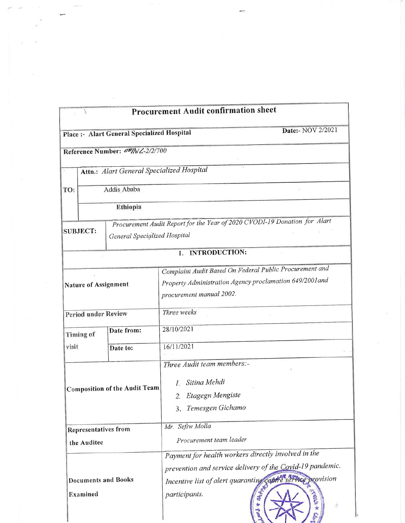|                                                       |                  |                                             | <b>Procurement Audit confirmation sheet</b>                               |
|-------------------------------------------------------|------------------|---------------------------------------------|---------------------------------------------------------------------------|
|                                                       |                  | Place :- Alart General Specialized Hospital | Date:- NOV 2/2021                                                         |
|                                                       |                  | Reference Number: am/h/2-2/2/700            |                                                                           |
|                                                       |                  | Attn.: Alart General Specialized Hospital   |                                                                           |
| TO:                                                   |                  | Addis Ababa                                 |                                                                           |
|                                                       | Ethiopia         |                                             |                                                                           |
|                                                       |                  |                                             | Procurement Audit Report for the Year of 2020 CVODI-19 Donation for Alart |
| <b>SUBJECT:</b><br>General Specialized Hospital       |                  |                                             |                                                                           |
|                                                       |                  |                                             | <b>INTRODUCTION:</b><br>1.                                                |
|                                                       |                  |                                             | Complaint Audit Based On Federal Public Procurement and                   |
|                                                       |                  |                                             | Property Administration Agency proclamation 649/2001 and                  |
| <b>Nature of Assignment</b>                           |                  |                                             | procurement manual 2002.                                                  |
| <b>Period under Review</b>                            |                  |                                             | Three weeks                                                               |
|                                                       | <b>Timing of</b> | Date from:                                  | 28/10/2021                                                                |
| visit                                                 |                  | Date to:                                    | 16/11/2021                                                                |
|                                                       |                  |                                             | Three Audit team members:-                                                |
|                                                       |                  |                                             | Sitina Mehdi                                                              |
|                                                       |                  | <b>Composition of the Audit Team</b>        | $\Gamma$                                                                  |
|                                                       |                  |                                             | 2. Etagegn Mengiste                                                       |
|                                                       |                  |                                             | 3. Temesgen Gichamo                                                       |
| <b>Representatives from</b>                           |                  |                                             | Mr. Sefiw Molla                                                           |
| the Auditee<br><b>Documents and Books</b><br>Examined |                  |                                             | Procurement team leader                                                   |
|                                                       |                  |                                             | Payment for health workers directly involved in the                       |
|                                                       |                  |                                             | prevention and service delivery of the Covid-19 pandemic.                 |
|                                                       |                  |                                             | provision                                                                 |
|                                                       |                  |                                             | Incentive list of alert quaranting contre service<br>黄<br>Á               |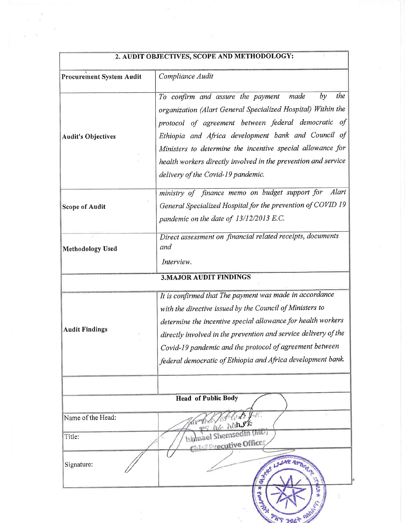|                                 | 2. AUDIT OBJECTIVES, SCOPE AND METHODOLOGY:                                                                                                                                                                                                                                                                                                                                                                |
|---------------------------------|------------------------------------------------------------------------------------------------------------------------------------------------------------------------------------------------------------------------------------------------------------------------------------------------------------------------------------------------------------------------------------------------------------|
| <b>Procurement System Audit</b> | Compliance Audit                                                                                                                                                                                                                                                                                                                                                                                           |
| <b>Audit's Objectives</b>       | the<br>To confirm and assure the payment<br>made<br>by<br>organization (Alart General Specialized Hospital) Within the<br>protocol of agreement between federal democratic of<br>Ethiopia and Africa development bank and Council of<br>Ministers to determine the incentive special allowance for<br>health workers directly involved in the prevention and service<br>delivery of the Covid-19 pandemic. |
| <b>Scope of Audit</b>           | ministry of finance memo on budget support for<br>Alart<br>General Specialized Hospital for the prevention of COVID 19<br>pandemic on the date of 13/12/2013 E.C.                                                                                                                                                                                                                                          |
| <b>Methodology Used</b>         | Direct assessment on financial related receipts, documents<br>and<br>Interview.                                                                                                                                                                                                                                                                                                                            |
|                                 | <b>3. MAJOR AUDIT FINDINGS</b>                                                                                                                                                                                                                                                                                                                                                                             |
| <b>Audit Findings</b>           | It is confirmed that The payment was made in accordance<br>with the directive issued by the Council of Ministers to<br>determine the incentive special allowance for health workers<br>directly involved in the prevention and service delivery of the<br>Covid-19 pandemic and the protocol of agreement between<br>federal democratic of Ethiopia and Africa development bank.                           |
|                                 |                                                                                                                                                                                                                                                                                                                                                                                                            |
|                                 | <b>Head of Public Body</b>                                                                                                                                                                                                                                                                                                                                                                                 |
| Name of the Head:               | $f$ , $f$ ,<br><u><sub>ዋና ስራ አ</sub></u> ስኪያጅ                                                                                                                                                                                                                                                                                                                                                              |
| Title:                          | siymael Shemsedin (MD)<br><b>A Control of Grand</b>                                                                                                                                                                                                                                                                                                                                                        |
| Signature:                      | REAL PROPERTY                                                                                                                                                                                                                                                                                                                                                                                              |
|                                 | <b>Port</b><br>Firs 9                                                                                                                                                                                                                                                                                                                                                                                      |

#### 2007100 GOODE IND MEDITODOLOGY